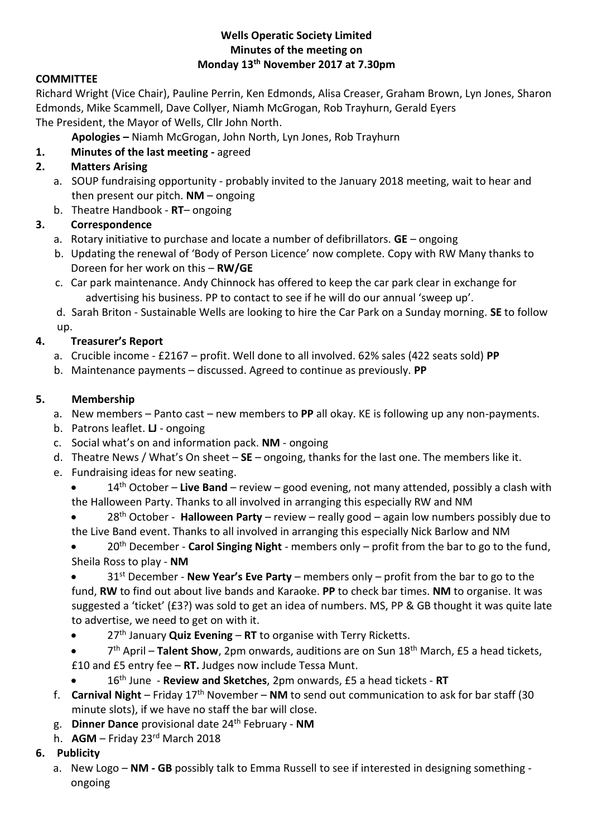#### **Wells Operatic Society Limited Minutes of the meeting on Monday 13th November 2017 at 7.30pm**

## **COMMITTEE**

Richard Wright (Vice Chair), Pauline Perrin, Ken Edmonds, Alisa Creaser, Graham Brown, Lyn Jones, Sharon Edmonds, Mike Scammell, Dave Collyer, Niamh McGrogan, Rob Trayhurn, Gerald Eyers The President, the Mayor of Wells, Cllr John North.

**Apologies –** Niamh McGrogan, John North, Lyn Jones, Rob Trayhurn

# **1. Minutes of the last meeting -** agreed

# **2. Matters Arising**

- a. SOUP fundraising opportunity probably invited to the January 2018 meeting, wait to hear and then present our pitch. **NM** – ongoing
- b. Theatre Handbook **RT** ongoing

## **3. Correspondence**

- a. Rotary initiative to purchase and locate a number of defibrillators. **GE** ongoing
- b. Updating the renewal of 'Body of Person Licence' now complete. Copy with RW Many thanks to Doreen for her work on this – **RW/GE**
- c. Car park maintenance. Andy Chinnock has offered to keep the car park clear in exchange for advertising his business. PP to contact to see if he will do our annual 'sweep up'.

d. Sarah Briton - Sustainable Wells are looking to hire the Car Park on a Sunday morning. **SE** to follow up.

## **4. Treasurer's Report**

- a. Crucible income £2167 profit. Well done to all involved. 62% sales (422 seats sold) **PP**
- b. Maintenance payments discussed. Agreed to continue as previously. **PP**

## **5. Membership**

- a. New members Panto cast new members to **PP** all okay. KE is following up any non-payments.
- b. Patrons leaflet. **LJ** ongoing
- c. Social what's on and information pack. **NM** ongoing
- d. Theatre News / What's On sheet **SE** ongoing, thanks for the last one. The members like it.
- e. Fundraising ideas for new seating.
	- 14th October **Live Band** review good evening, not many attended, possibly a clash with the Halloween Party. Thanks to all involved in arranging this especially RW and NM
	- 28th October **Halloween Party** review really good again low numbers possibly due to the Live Band event. Thanks to all involved in arranging this especially Nick Barlow and NM
	- 20th December **Carol Singing Night** members only profit from the bar to go to the fund, Sheila Ross to play - **NM**
	- 31st December **New Year's Eve Party** members only profit from the bar to go to the fund, **RW** to find out about live bands and Karaoke. **PP** to check bar times. **NM** to organise. It was suggested a 'ticket' (£3?) was sold to get an idea of numbers. MS, PP & GB thought it was quite late to advertise, we need to get on with it.
	- 27th January **Quiz Evening RT** to organise with Terry Ricketts.
	- 7 th April **Talent Show**, 2pm onwards, auditions are on Sun 18th March, £5 a head tickets, £10 and £5 entry fee – **RT.** Judges now include Tessa Munt.
		- 16th June **Review and Sketches**, 2pm onwards, £5 a head tickets **RT**
- f. **Carnival Night** Friday 17th November **NM** to send out communication to ask for bar staff (30 minute slots), if we have no staff the bar will close.
- g. **Dinner Dance** provisional date 24th February **NM**
- h. **AGM** Friday 23rd March 2018
- **6. Publicity**
	- a. New Logo **NM - GB** possibly talk to Emma Russell to see if interested in designing something ongoing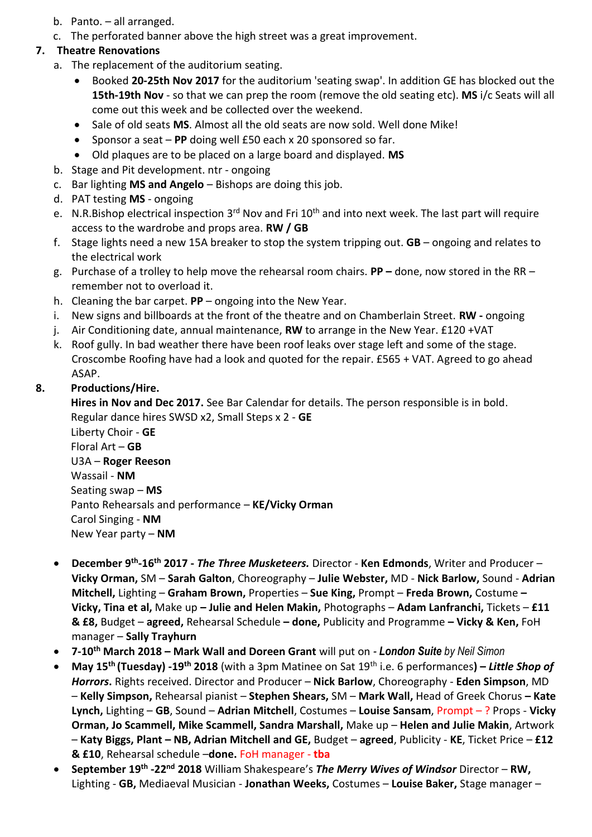- b. Panto. all arranged.
- c. The perforated banner above the high street was a great improvement.

### **7. Theatre Renovations**

- a. The replacement of the auditorium seating.
	- Booked **20-25th Nov 2017** for the auditorium 'seating swap'. In addition GE has blocked out the **15th-19th Nov** - so that we can prep the room (remove the old seating etc). **MS** i/c Seats will all come out this week and be collected over the weekend.
	- Sale of old seats **MS**. Almost all the old seats are now sold. Well done Mike!
	- Sponsor a seat **PP** doing well £50 each x 20 sponsored so far.
	- Old plaques are to be placed on a large board and displayed. **MS**
- b. Stage and Pit development. ntr ongoing
- c. Bar lighting **MS and Angelo** Bishops are doing this job.
- d. PAT testing **MS** ongoing
- e. N.R.Bishop electrical inspection 3<sup>rd</sup> Nov and Fri 10<sup>th</sup> and into next week. The last part will require access to the wardrobe and props area. **RW / GB**
- f. Stage lights need a new 15A breaker to stop the system tripping out. **GB** ongoing and relates to the electrical work
- g. Purchase of a trolley to help move the rehearsal room chairs. **PP –** done, now stored in the RR remember not to overload it.
- h. Cleaning the bar carpet. **PP** ongoing into the New Year.
- i. New signs and billboards at the front of the theatre and on Chamberlain Street. **RW -** ongoing
- j. Air Conditioning date, annual maintenance, **RW** to arrange in the New Year. £120 +VAT
- k. Roof gully. In bad weather there have been roof leaks over stage left and some of the stage. Croscombe Roofing have had a look and quoted for the repair. £565 + VAT. Agreed to go ahead ASAP.

## **8. Productions/Hire.**

**Hires in Nov and Dec 2017.** See Bar Calendar for details. The person responsible is in bold. Regular dance hires SWSD x2, Small Steps x 2 - **GE**

Liberty Choir - **GE** Floral Art – **GB** U3A – **Roger Reeson** Wassail - **NM** Seating swap – **MS** Panto Rehearsals and performance – **KE/Vicky Orman** Carol Singing - **NM** New Year party – **NM**

- **December 9th -16th 2017 -** *The Three Musketeers.* Director **Ken Edmonds**, Writer and Producer **Vicky Orman,** SM – **Sarah Galton**, Choreography – **Julie Webster,** MD - **Nick Barlow,** Sound - **Adrian Mitchell,** Lighting – **Graham Brown,** Properties – **Sue King,** Prompt – **Freda Brown,** Costume **– Vicky, Tina et al,** Make up **– Julie and Helen Makin,** Photographs – **Adam Lanfranchi,** Tickets – **£11 & £8,** Budget – **agreed,** Rehearsal Schedule **– done,** Publicity and Programme **– Vicky & Ken,** FoH manager – **Sally Trayhurn**
- **7-10th March 2018 – Mark Wall and Doreen Grant** will put on *- London Suite by Neil Simon*
- **May 15th (Tuesday) -19th 2018** (with a 3pm Matinee on Sat 19th i.e. 6 performances**) –** *Little Shop of Horrors***.** Rights received. Director and Producer – **Nick Barlow**, Choreography - **Eden Simpson**, MD – **Kelly Simpson,** Rehearsal pianist – **Stephen Shears,** SM – **Mark Wall,** Head of Greek Chorus **– Kate Lynch,** Lighting – **GB**, Sound – **Adrian Mitchell**, Costumes – **Louise Sansam**, Prompt – ? Props - **Vicky Orman, Jo Scammell, Mike Scammell, Sandra Marshall,** Make up – **Helen and Julie Makin**, Artwork – **Katy Biggs, Plant – NB, Adrian Mitchell and GE,** Budget – **agreed**, Publicity - **KE**, Ticket Price – **£12 & £10**, Rehearsal schedule –**done.** FoH manager - **tba**
- **September 19th -22nd 2018** William Shakespeare's *The Merry Wives of Windsor* Director **RW,**  Lighting - **GB,** Mediaeval Musician - **Jonathan Weeks,** Costumes – **Louise Baker,** Stage manager –